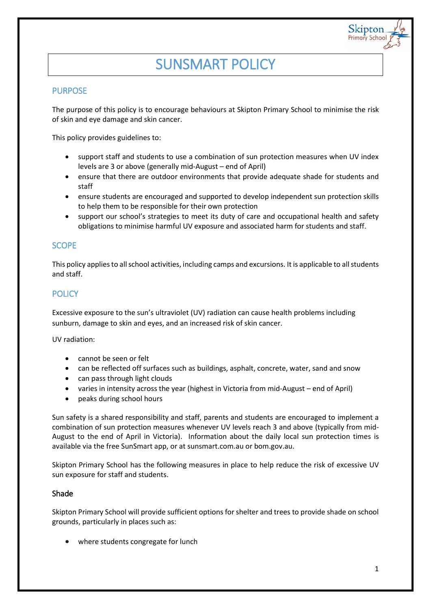# SUNSMART POLICY

# **PURPOSE**

The purpose of this policy is to encourage behaviours at Skipton Primary School to minimise the risk of skin and eye damage and skin cancer.

This policy provides guidelines to:

- support staff and students to use a combination of sun protection measures when UV index levels are 3 or above (generally mid-August – end of April)
- ensure that there are outdoor environments that provide adequate shade for students and staff
- ensure students are encouraged and supported to develop independent sun protection skills to help them to be responsible for their own protection
- support our school's strategies to meet its duty of care and occupational health and safety obligations to minimise harmful UV exposure and associated harm for students and staff.

## **SCOPE**

This policy applies to all school activities, including camps and excursions. It is applicable to all students and staff.

# **POLICY**

Excessive exposure to the sun's ultraviolet (UV) radiation can cause health problems including sunburn, damage to skin and eyes, and an increased risk of skin cancer.

UV radiation:

- cannot be seen or felt
- can be reflected off surfaces such as buildings, asphalt, concrete, water, sand and snow
- can pass through light clouds
- varies in intensity across the year (highest in Victoria from mid-August end of April)
- peaks during school hours

Sun safety is a shared responsibility and staff, parents and students are encouraged to implement a combination of sun protection measures whenever UV levels reach 3 and above (typically from mid-August to the end of April in Victoria). Information about the daily local sun protection times is available via the free [SunSmart app,](http://www.sunsmart.com.au/tools/interactive-tools/free-sunsmart-app) or a[t sunsmart.com.au](http://www.sunsmart.com.au/) or bom.gov.au.

Skipton Primary School has the following measures in place to help reduce the risk of excessive UV sun exposure for staff and students.

#### Shade

Skipton Primary School will provide sufficient options for shelter and trees to provide shade on school grounds, particularly in places such as:

where students congregate for lunch

Skiptor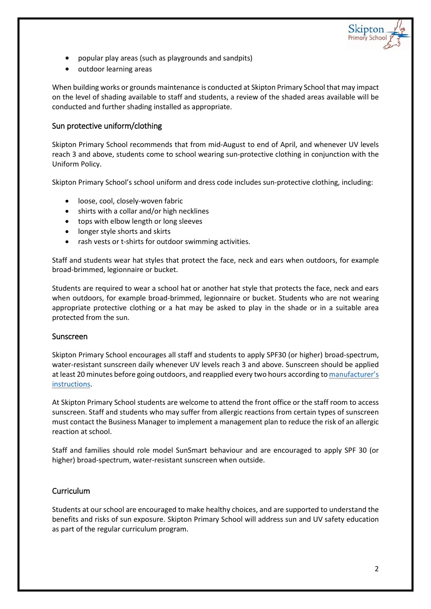- popular play areas (such as playgrounds and sandpits)
- outdoor learning areas

When building works or grounds maintenance is conducted at Skipton Primary School that may impact on the level of shading available to staff and students, a review of the shaded areas available will be conducted and further shading installed as appropriate.

## Sun protective uniform/clothing

Skipton Primary School recommends that from mid-August to end of April, and whenever UV levels reach 3 and above, students come to school wearing sun-protective clothing in conjunction with the Uniform Policy.

Skipton Primary School's school uniform and dress code includes sun-protective clothing, including:

- loose, cool, closely-woven fabric
- shirts with a collar and/or high necklines
- tops with elbow length or long sleeves
- longer style shorts and skirts
- rash vests or t-shirts for outdoor swimming activities.

Staff and students wear hat styles that protect the face, neck and ears when outdoors, for example broad-brimmed, legionnaire or bucket.

Students are required to wear a school hat or another hat style that protects the face, neck and ears when outdoors, for example broad-brimmed, legionnaire or bucket. Students who are not wearing appropriate protective clothing or a hat may be asked to play in the shade or in a suitable area protected from the sun.

#### Sunscreen

Skipton Primary School encourages all staff and students to apply SPF30 (or higher) broad-spectrum, water-resistant sunscreen daily whenever UV levels reach 3 and above. Sunscreen should be applied at least 20 minutes before going outdoors, and reapplied every two hours according to [manufacturer's](https://www.tga.gov.au/book/4-labelling-and-advertising)  [instructions.](https://www.tga.gov.au/book/4-labelling-and-advertising)

At Skipton Primary School students are welcome to attend the front office or the staff room to access sunscreen. Staff and students who may suffer from allergic reactions from certain types of sunscreen must contact the Business Manager to implement a management plan to reduce the risk of an allergic reaction at school.

Staff and families should role model SunSmart behaviour and are encouraged to apply SPF 30 (or higher) broad-spectrum, water-resistant sunscreen when outside.

## Curriculum

Students at our school are encouraged to make healthy choices, and are supported to understand the benefits and risks of sun exposure. Skipton Primary School will address sun and UV safety education as part of the regular curriculum program.

Skiptor rimary Schoo